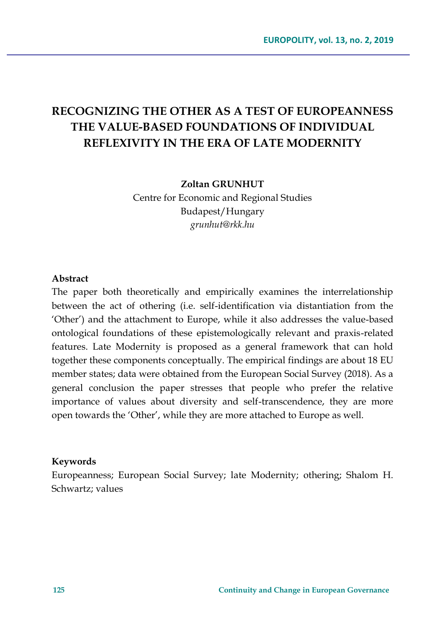# **RECOGNIZING THE OTHER AS A TEST OF EUROPEANNESS THE VALUE-BASED FOUNDATIONS OF INDIVIDUAL REFLEXIVITY IN THE ERA OF LATE MODERNITY**

**Zoltan GRUNHUT**

Centre for Economic and Regional Studies Budapest/Hungary *grunhut@rkk.hu*

#### **Abstract**

The paper both theoretically and empirically examines the interrelationship between the act of othering (i.e. self-identification via distantiation from the 'Other') and the attachment to Europe, while it also addresses the value-based ontological foundations of these epistemologically relevant and praxis-related features. Late Modernity is proposed as a general framework that can hold together these components conceptually. The empirical findings are about 18 EU member states; data were obtained from the European Social Survey (2018). As a general conclusion the paper stresses that people who prefer the relative importance of values about diversity and self-transcendence, they are more open towards the 'Other', while they are more attached to Europe as well.

#### **Keywords**

Europeanness; European Social Survey; late Modernity; othering; Shalom H. Schwartz; values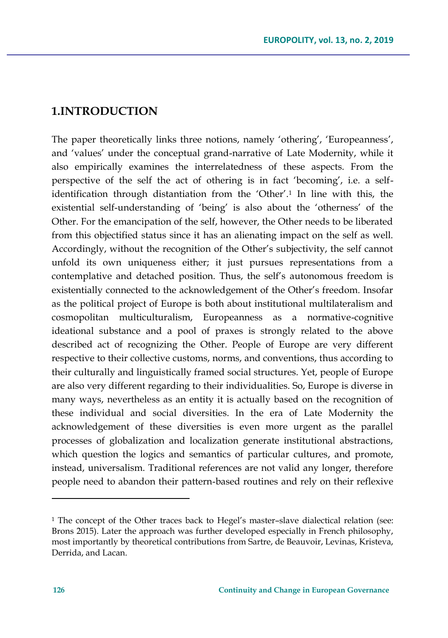### **1.INTRODUCTION**

The paper theoretically links three notions, namely 'othering', 'Europeanness', and 'values' under the conceptual grand-narrative of Late Modernity, while it also empirically examines the interrelatedness of these aspects. From the perspective of the self the act of othering is in fact 'becoming', i.e. a selfidentification through distantiation from the 'Other'.<sup>1</sup> In line with this, the existential self-understanding of 'being' is also about the 'otherness' of the Other. For the emancipation of the self, however, the Other needs to be liberated from this objectified status since it has an alienating impact on the self as well. Accordingly, without the recognition of the Other's subjectivity, the self cannot unfold its own uniqueness either; it just pursues representations from a contemplative and detached position. Thus, the self's autonomous freedom is existentially connected to the acknowledgement of the Other's freedom. Insofar as the political project of Europe is both about institutional multilateralism and cosmopolitan multiculturalism, Europeanness as a normative-cognitive ideational substance and a pool of praxes is strongly related to the above described act of recognizing the Other. People of Europe are very different respective to their collective customs, norms, and conventions, thus according to their culturally and linguistically framed social structures. Yet, people of Europe are also very different regarding to their individualities. So, Europe is diverse in many ways, nevertheless as an entity it is actually based on the recognition of these individual and social diversities. In the era of Late Modernity the acknowledgement of these diversities is even more urgent as the parallel processes of globalization and localization generate institutional abstractions, which question the logics and semantics of particular cultures, and promote, instead, universalism. Traditional references are not valid any longer, therefore people need to abandon their pattern-based routines and rely on their reflexive

 $\overline{a}$ 

<sup>1</sup> The concept of the Other traces back to Hegel's master–slave dialectical relation (see: Brons 2015). Later the approach was further developed especially in French philosophy, most importantly by theoretical contributions from Sartre, de Beauvoir, Levinas, Kristeva, Derrida, and Lacan.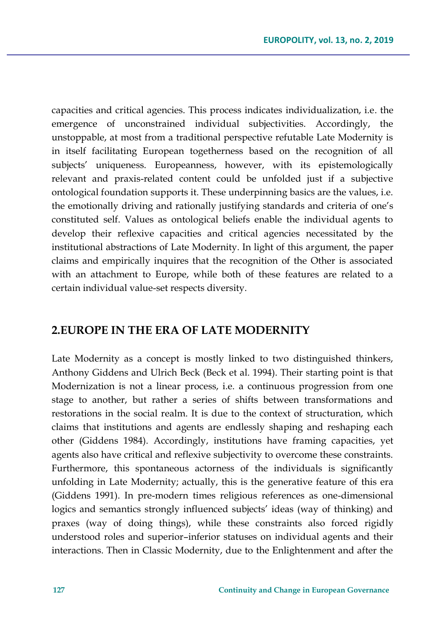capacities and critical agencies. This process indicates individualization, i.e. the emergence of unconstrained individual subjectivities. Accordingly, the unstoppable, at most from a traditional perspective refutable Late Modernity is in itself facilitating European togetherness based on the recognition of all subjects' uniqueness. Europeanness, however, with its epistemologically relevant and praxis-related content could be unfolded just if a subjective ontological foundation supports it. These underpinning basics are the values, i.e. the emotionally driving and rationally justifying standards and criteria of one's constituted self. Values as ontological beliefs enable the individual agents to develop their reflexive capacities and critical agencies necessitated by the institutional abstractions of Late Modernity. In light of this argument, the paper claims and empirically inquires that the recognition of the Other is associated with an attachment to Europe, while both of these features are related to a certain individual value-set respects diversity.

### **2.EUROPE IN THE ERA OF LATE MODERNITY**

Late Modernity as a concept is mostly linked to two distinguished thinkers, Anthony Giddens and Ulrich Beck (Beck et al. 1994). Their starting point is that Modernization is not a linear process, i.e. a continuous progression from one stage to another, but rather a series of shifts between transformations and restorations in the social realm. It is due to the context of structuration, which claims that institutions and agents are endlessly shaping and reshaping each other (Giddens 1984). Accordingly, institutions have framing capacities, yet agents also have critical and reflexive subjectivity to overcome these constraints. Furthermore, this spontaneous actorness of the individuals is significantly unfolding in Late Modernity; actually, this is the generative feature of this era (Giddens 1991). In pre-modern times religious references as one-dimensional logics and semantics strongly influenced subjects' ideas (way of thinking) and praxes (way of doing things), while these constraints also forced rigidly understood roles and superior–inferior statuses on individual agents and their interactions. Then in Classic Modernity, due to the Enlightenment and after the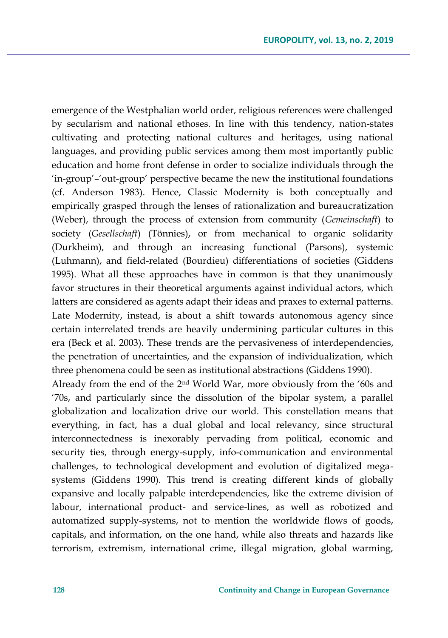emergence of the Westphalian world order, religious references were challenged by secularism and national ethoses. In line with this tendency, nation-states cultivating and protecting national cultures and heritages, using national languages, and providing public services among them most importantly public education and home front defense in order to socialize individuals through the 'in-group'–'out-group' perspective became the new the institutional foundations (cf. Anderson 1983). Hence, Classic Modernity is both conceptually and empirically grasped through the lenses of rationalization and bureaucratization (Weber), through the process of extension from community (*Gemeinschaft*) to society (*Gesellschaft*) (Tönnies), or from mechanical to organic solidarity (Durkheim), and through an increasing functional (Parsons), systemic (Luhmann), and field-related (Bourdieu) differentiations of societies (Giddens 1995). What all these approaches have in common is that they unanimously favor structures in their theoretical arguments against individual actors, which latters are considered as agents adapt their ideas and praxes to external patterns. Late Modernity, instead, is about a shift towards autonomous agency since certain interrelated trends are heavily undermining particular cultures in this era (Beck et al. 2003). These trends are the pervasiveness of interdependencies, the penetration of uncertainties, and the expansion of individualization, which three phenomena could be seen as institutional abstractions (Giddens 1990).

Already from the end of the 2nd World War, more obviously from the '60s and '70s, and particularly since the dissolution of the bipolar system, a parallel globalization and localization drive our world. This constellation means that everything, in fact, has a dual global and local relevancy, since structural interconnectedness is inexorably pervading from political, economic and security ties, through energy-supply, info-communication and environmental challenges, to technological development and evolution of digitalized megasystems (Giddens 1990). This trend is creating different kinds of globally expansive and locally palpable interdependencies, like the extreme division of labour, international product- and service-lines, as well as robotized and automatized supply-systems, not to mention the worldwide flows of goods, capitals, and information, on the one hand, while also threats and hazards like terrorism, extremism, international crime, illegal migration, global warming,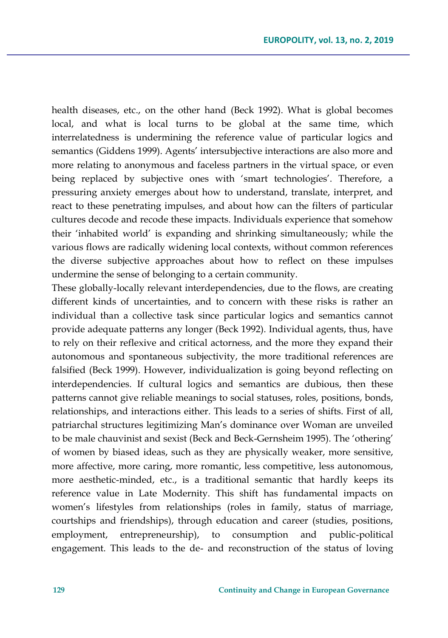health diseases, etc., on the other hand (Beck 1992). What is global becomes local, and what is local turns to be global at the same time, which interrelatedness is undermining the reference value of particular logics and semantics (Giddens 1999). Agents' intersubjective interactions are also more and more relating to anonymous and faceless partners in the virtual space, or even being replaced by subjective ones with 'smart technologies'. Therefore, a pressuring anxiety emerges about how to understand, translate, interpret, and react to these penetrating impulses, and about how can the filters of particular cultures decode and recode these impacts. Individuals experience that somehow their 'inhabited world' is expanding and shrinking simultaneously; while the various flows are radically widening local contexts, without common references the diverse subjective approaches about how to reflect on these impulses undermine the sense of belonging to a certain community.

These globally-locally relevant interdependencies, due to the flows, are creating different kinds of uncertainties, and to concern with these risks is rather an individual than a collective task since particular logics and semantics cannot provide adequate patterns any longer (Beck 1992). Individual agents, thus, have to rely on their reflexive and critical actorness, and the more they expand their autonomous and spontaneous subjectivity, the more traditional references are falsified (Beck 1999). However, individualization is going beyond reflecting on interdependencies. If cultural logics and semantics are dubious, then these patterns cannot give reliable meanings to social statuses, roles, positions, bonds, relationships, and interactions either. This leads to a series of shifts. First of all, patriarchal structures legitimizing Man's dominance over Woman are unveiled to be male chauvinist and sexist (Beck and Beck-Gernsheim 1995). The 'othering' of women by biased ideas, such as they are physically weaker, more sensitive, more affective, more caring, more romantic, less competitive, less autonomous, more aesthetic-minded, etc., is a traditional semantic that hardly keeps its reference value in Late Modernity. This shift has fundamental impacts on women's lifestyles from relationships (roles in family, status of marriage, courtships and friendships), through education and career (studies, positions, employment, entrepreneurship), to consumption and public-political engagement. This leads to the de- and reconstruction of the status of loving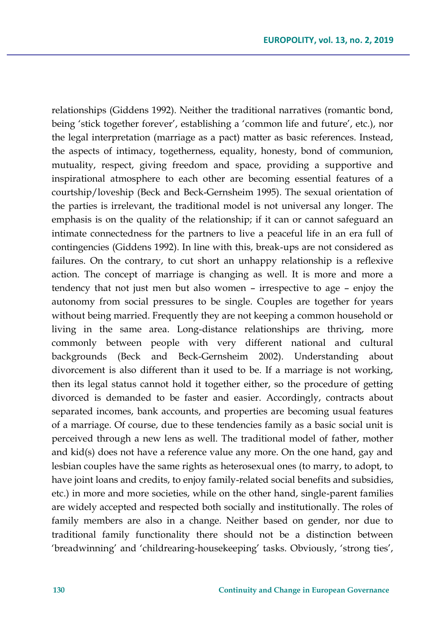relationships (Giddens 1992). Neither the traditional narratives (romantic bond, being 'stick together forever', establishing a 'common life and future', etc.), nor the legal interpretation (marriage as a pact) matter as basic references. Instead, the aspects of intimacy, togetherness, equality, honesty, bond of communion, mutuality, respect, giving freedom and space, providing a supportive and inspirational atmosphere to each other are becoming essential features of a courtship/loveship (Beck and Beck-Gernsheim 1995). The sexual orientation of the parties is irrelevant, the traditional model is not universal any longer. The emphasis is on the quality of the relationship; if it can or cannot safeguard an intimate connectedness for the partners to live a peaceful life in an era full of contingencies (Giddens 1992). In line with this, break-ups are not considered as failures. On the contrary, to cut short an unhappy relationship is a reflexive action. The concept of marriage is changing as well. It is more and more a tendency that not just men but also women – irrespective to age – enjoy the autonomy from social pressures to be single. Couples are together for years without being married. Frequently they are not keeping a common household or living in the same area. Long-distance relationships are thriving, more commonly between people with very different national and cultural backgrounds (Beck and Beck-Gernsheim 2002). Understanding about divorcement is also different than it used to be. If a marriage is not working, then its legal status cannot hold it together either, so the procedure of getting divorced is demanded to be faster and easier. Accordingly, contracts about separated incomes, bank accounts, and properties are becoming usual features of a marriage. Of course, due to these tendencies family as a basic social unit is perceived through a new lens as well. The traditional model of father, mother and kid(s) does not have a reference value any more. On the one hand, gay and lesbian couples have the same rights as heterosexual ones (to marry, to adopt, to have joint loans and credits, to enjoy family-related social benefits and subsidies, etc.) in more and more societies, while on the other hand, single-parent families are widely accepted and respected both socially and institutionally. The roles of family members are also in a change. Neither based on gender, nor due to traditional family functionality there should not be a distinction between 'breadwinning' and 'childrearing-housekeeping' tasks. Obviously, 'strong ties',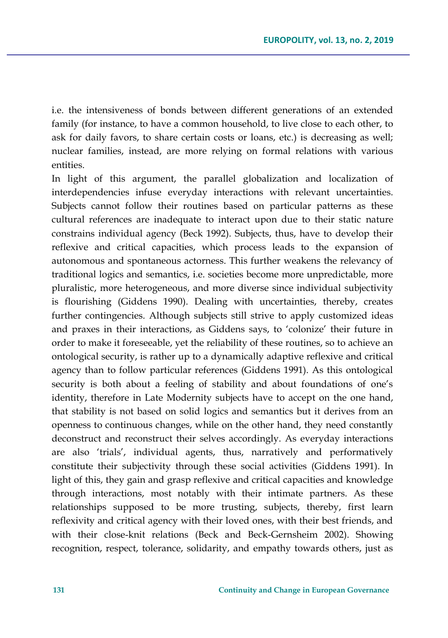i.e. the intensiveness of bonds between different generations of an extended family (for instance, to have a common household, to live close to each other, to ask for daily favors, to share certain costs or loans, etc.) is decreasing as well; nuclear families, instead, are more relying on formal relations with various entities.

In light of this argument, the parallel globalization and localization of interdependencies infuse everyday interactions with relevant uncertainties. Subjects cannot follow their routines based on particular patterns as these cultural references are inadequate to interact upon due to their static nature constrains individual agency (Beck 1992). Subjects, thus, have to develop their reflexive and critical capacities, which process leads to the expansion of autonomous and spontaneous actorness. This further weakens the relevancy of traditional logics and semantics, i.e. societies become more unpredictable, more pluralistic, more heterogeneous, and more diverse since individual subjectivity is flourishing (Giddens 1990). Dealing with uncertainties, thereby, creates further contingencies. Although subjects still strive to apply customized ideas and praxes in their interactions, as Giddens says, to 'colonize' their future in order to make it foreseeable, yet the reliability of these routines, so to achieve an ontological security, is rather up to a dynamically adaptive reflexive and critical agency than to follow particular references (Giddens 1991). As this ontological security is both about a feeling of stability and about foundations of one's identity, therefore in Late Modernity subjects have to accept on the one hand, that stability is not based on solid logics and semantics but it derives from an openness to continuous changes, while on the other hand, they need constantly deconstruct and reconstruct their selves accordingly. As everyday interactions are also 'trials', individual agents, thus, narratively and performatively constitute their subjectivity through these social activities (Giddens 1991). In light of this, they gain and grasp reflexive and critical capacities and knowledge through interactions, most notably with their intimate partners. As these relationships supposed to be more trusting, subjects, thereby, first learn reflexivity and critical agency with their loved ones, with their best friends, and with their close-knit relations (Beck and Beck-Gernsheim 2002). Showing recognition, respect, tolerance, solidarity, and empathy towards others, just as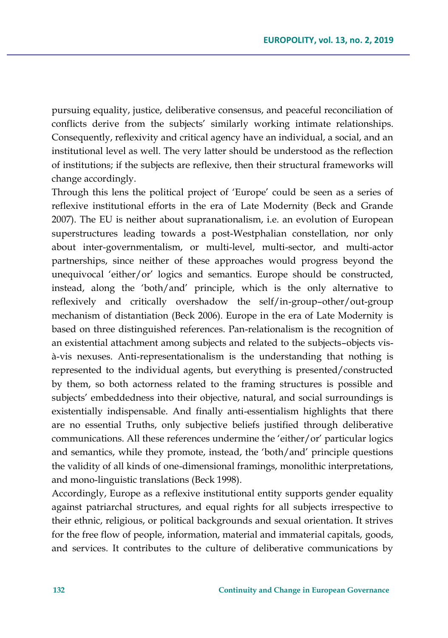pursuing equality, justice, deliberative consensus, and peaceful reconciliation of conflicts derive from the subjects' similarly working intimate relationships. Consequently, reflexivity and critical agency have an individual, a social, and an institutional level as well. The very latter should be understood as the reflection of institutions; if the subjects are reflexive, then their structural frameworks will change accordingly.

Through this lens the political project of 'Europe' could be seen as a series of reflexive institutional efforts in the era of Late Modernity (Beck and Grande 2007). The EU is neither about supranationalism, i.e. an evolution of European superstructures leading towards a post-Westphalian constellation, nor only about inter-governmentalism, or multi-level, multi-sector, and multi-actor partnerships, since neither of these approaches would progress beyond the unequivocal 'either/or' logics and semantics. Europe should be constructed, instead, along the 'both/and' principle, which is the only alternative to reflexively and critically overshadow the self/in-group–other/out-group mechanism of distantiation (Beck 2006). Europe in the era of Late Modernity is based on three distinguished references. Pan-relationalism is the recognition of an existential attachment among subjects and related to the subjects–objects visà-vis nexuses. Anti-representationalism is the understanding that nothing is represented to the individual agents, but everything is presented/constructed by them, so both actorness related to the framing structures is possible and subjects' embeddedness into their objective, natural, and social surroundings is existentially indispensable. And finally anti-essentialism highlights that there are no essential Truths, only subjective beliefs justified through deliberative communications. All these references undermine the 'either/or' particular logics and semantics, while they promote, instead, the 'both/and' principle questions the validity of all kinds of one-dimensional framings, monolithic interpretations, and mono-linguistic translations (Beck 1998).

Accordingly, Europe as a reflexive institutional entity supports gender equality against patriarchal structures, and equal rights for all subjects irrespective to their ethnic, religious, or political backgrounds and sexual orientation. It strives for the free flow of people, information, material and immaterial capitals, goods, and services. It contributes to the culture of deliberative communications by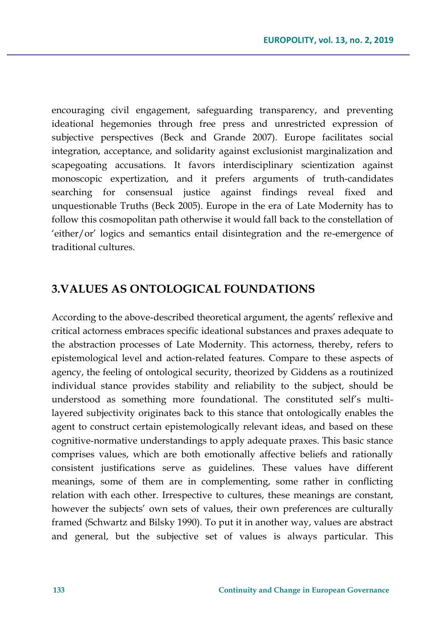encouraging civil engagement, safeguarding transparency, and preventing ideational hegemonies through free press and unrestricted expression of subjective perspectives (Beck and Grande 2007). Europe facilitates social integration, acceptance, and solidarity against exclusionist marginalization and scapegoating accusations. It favors interdisciplinary scientization against monoscopic expertization, and it prefers arguments of truth-candidates searching for consensual justice against findings reveal fixed and unquestionable Truths (Beck 2005). Europe in the era of Late Modernity has to follow this cosmopolitan path otherwise it would fall back to the constellation of 'either/or' logics and semantics entail disintegration and the re-emergence of traditional cultures.

## **3.VALUES AS ONTOLOGICAL FOUNDATIONS**

According to the above-described theoretical argument, the agents' reflexive and critical actorness embraces specific ideational substances and praxes adequate to the abstraction processes of Late Modernity. This actorness, thereby, refers to epistemological level and action-related features. Compare to these aspects of agency, the feeling of ontological security, theorized by Giddens as a routinized individual stance provides stability and reliability to the subject, should be understood as something more foundational. The constituted self's multilayered subjectivity originates back to this stance that ontologically enables the agent to construct certain epistemologically relevant ideas, and based on these cognitive-normative understandings to apply adequate praxes. This basic stance comprises values, which are both emotionally affective beliefs and rationally consistent justifications serve as guidelines. These values have different meanings, some of them are in complementing, some rather in conflicting relation with each other. Irrespective to cultures, these meanings are constant, however the subjects' own sets of values, their own preferences are culturally framed (Schwartz and Bilsky 1990). To put it in another way, values are abstract and general, but the subjective set of values is always particular. This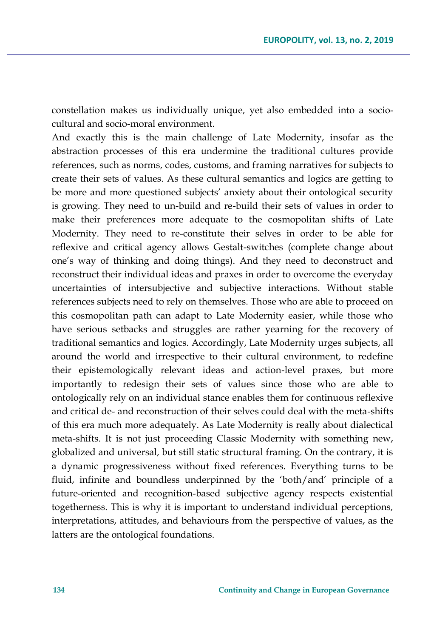constellation makes us individually unique, yet also embedded into a sociocultural and socio-moral environment.

And exactly this is the main challenge of Late Modernity, insofar as the abstraction processes of this era undermine the traditional cultures provide references, such as norms, codes, customs, and framing narratives for subjects to create their sets of values. As these cultural semantics and logics are getting to be more and more questioned subjects' anxiety about their ontological security is growing. They need to un-build and re-build their sets of values in order to make their preferences more adequate to the cosmopolitan shifts of Late Modernity. They need to re-constitute their selves in order to be able for reflexive and critical agency allows Gestalt-switches (complete change about one's way of thinking and doing things). And they need to deconstruct and reconstruct their individual ideas and praxes in order to overcome the everyday uncertainties of intersubjective and subjective interactions. Without stable references subjects need to rely on themselves. Those who are able to proceed on this cosmopolitan path can adapt to Late Modernity easier, while those who have serious setbacks and struggles are rather yearning for the recovery of traditional semantics and logics. Accordingly, Late Modernity urges subjects, all around the world and irrespective to their cultural environment, to redefine their epistemologically relevant ideas and action-level praxes, but more importantly to redesign their sets of values since those who are able to ontologically rely on an individual stance enables them for continuous reflexive and critical de- and reconstruction of their selves could deal with the meta-shifts of this era much more adequately. As Late Modernity is really about dialectical meta-shifts. It is not just proceeding Classic Modernity with something new, globalized and universal, but still static structural framing. On the contrary, it is a dynamic progressiveness without fixed references. Everything turns to be fluid, infinite and boundless underpinned by the 'both/and' principle of a future-oriented and recognition-based subjective agency respects existential togetherness. This is why it is important to understand individual perceptions, interpretations, attitudes, and behaviours from the perspective of values, as the latters are the ontological foundations.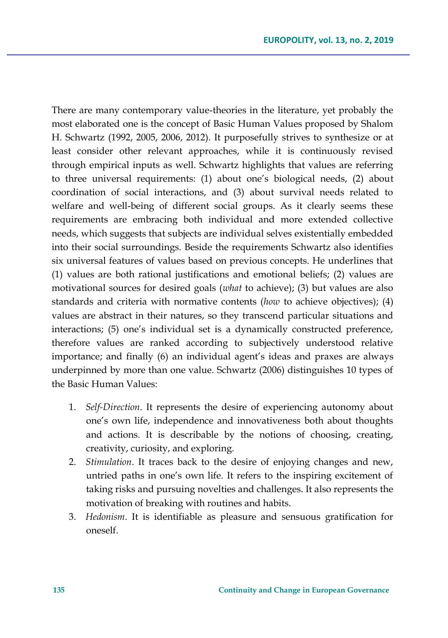There are many contemporary value-theories in the literature, yet probably the most elaborated one is the concept of Basic Human Values proposed by Shalom H. Schwartz (1992, 2005, 2006, 2012). It purposefully strives to synthesize or at least consider other relevant approaches, while it is continuously revised through empirical inputs as well. Schwartz highlights that values are referring to three universal requirements: (1) about one's biological needs, (2) about coordination of social interactions, and (3) about survival needs related to welfare and well-being of different social groups. As it clearly seems these requirements are embracing both individual and more extended collective needs, which suggests that subjects are individual selves existentially embedded into their social surroundings. Beside the requirements Schwartz also identifies six universal features of values based on previous concepts. He underlines that (1) values are both rational justifications and emotional beliefs; (2) values are motivational sources for desired goals (*what* to achieve); (3) but values are also standards and criteria with normative contents (*how* to achieve objectives); (4) values are abstract in their natures, so they transcend particular situations and interactions; (5) one's individual set is a dynamically constructed preference, therefore values are ranked according to subjectively understood relative importance; and finally (6) an individual agent's ideas and praxes are always underpinned by more than one value. Schwartz (2006) distinguishes 10 types of the Basic Human Values:

- 1. *Self-Direction*. It represents the desire of experiencing autonomy about one's own life, independence and innovativeness both about thoughts and actions. It is describable by the notions of choosing, creating, creativity, curiosity, and exploring.
- 2. *Stimulation*. It traces back to the desire of enjoying changes and new, untried paths in one's own life. It refers to the inspiring excitement of taking risks and pursuing novelties and challenges. It also represents the motivation of breaking with routines and habits.
- 3. *Hedonism*. It is identifiable as pleasure and sensuous gratification for oneself.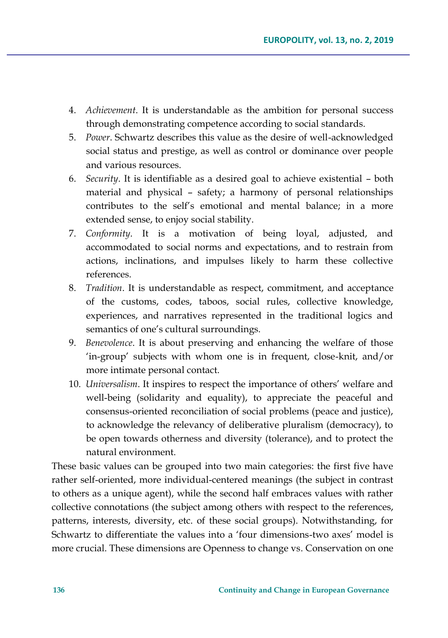- 4. *Achievement*. It is understandable as the ambition for personal success through demonstrating competence according to social standards.
- 5. *Power*. Schwartz describes this value as the desire of well-acknowledged social status and prestige, as well as control or dominance over people and various resources.
- 6. *Security*. It is identifiable as a desired goal to achieve existential both material and physical – safety; a harmony of personal relationships contributes to the self's emotional and mental balance; in a more extended sense, to enjoy social stability.
- 7. *Conformity*. It is a motivation of being loyal, adjusted, and accommodated to social norms and expectations, and to restrain from actions, inclinations, and impulses likely to harm these collective references.
- 8. *Tradition*. It is understandable as respect, commitment, and acceptance of the customs, codes, taboos, social rules, collective knowledge, experiences, and narratives represented in the traditional logics and semantics of one's cultural surroundings.
- 9. *Benevolence*. It is about preserving and enhancing the welfare of those 'in-group' subjects with whom one is in frequent, close-knit, and/or more intimate personal contact.
- 10. *Universalism*. It inspires to respect the importance of others' welfare and well-being (solidarity and equality), to appreciate the peaceful and consensus-oriented reconciliation of social problems (peace and justice), to acknowledge the relevancy of deliberative pluralism (democracy), to be open towards otherness and diversity (tolerance), and to protect the natural environment.

These basic values can be grouped into two main categories: the first five have rather self-oriented, more individual-centered meanings (the subject in contrast to others as a unique agent), while the second half embraces values with rather collective connotations (the subject among others with respect to the references, patterns, interests, diversity, etc. of these social groups). Notwithstanding, for Schwartz to differentiate the values into a 'four dimensions-two axes' model is more crucial. These dimensions are Openness to change vs. Conservation on one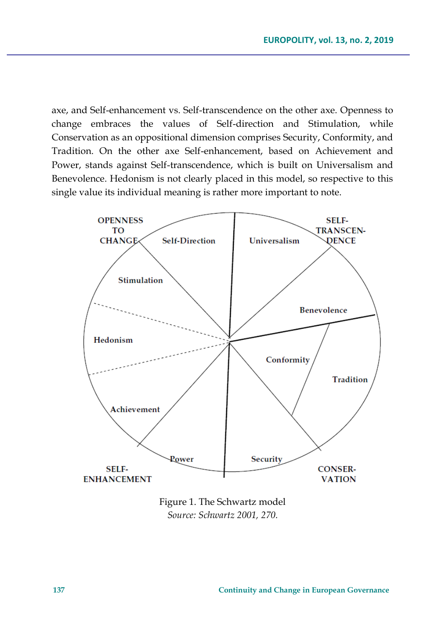axe, and Self-enhancement vs. Self-transcendence on the other axe. Openness to change embraces the values of Self-direction and Stimulation, while Conservation as an oppositional dimension comprises Security, Conformity, and Tradition. On the other axe Self-enhancement, based on Achievement and Power, stands against Self-transcendence, which is built on Universalism and Benevolence. Hedonism is not clearly placed in this model, so respective to this single value its individual meaning is rather more important to note.



Figure 1. The Schwartz model *Source: Schwartz 2001, 270.*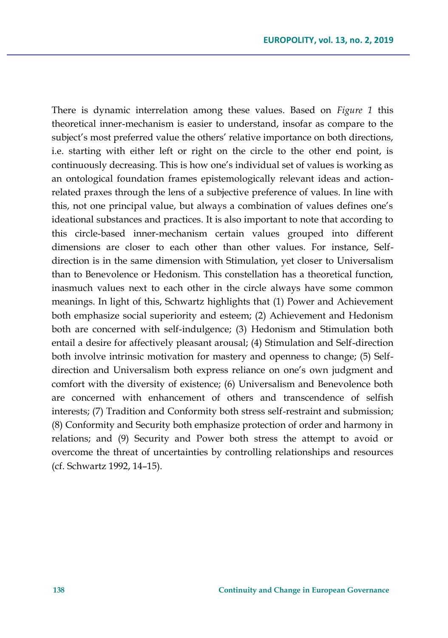There is dynamic interrelation among these values. Based on *Figure 1* this theoretical inner-mechanism is easier to understand, insofar as compare to the subject's most preferred value the others' relative importance on both directions, i.e. starting with either left or right on the circle to the other end point, is continuously decreasing. This is how one's individual set of values is working as an ontological foundation frames epistemologically relevant ideas and actionrelated praxes through the lens of a subjective preference of values. In line with this, not one principal value, but always a combination of values defines one's ideational substances and practices. It is also important to note that according to this circle-based inner-mechanism certain values grouped into different dimensions are closer to each other than other values. For instance, Selfdirection is in the same dimension with Stimulation, yet closer to Universalism than to Benevolence or Hedonism. This constellation has a theoretical function, inasmuch values next to each other in the circle always have some common meanings. In light of this, Schwartz highlights that (1) Power and Achievement both emphasize social superiority and esteem; (2) Achievement and Hedonism both are concerned with self-indulgence; (3) Hedonism and Stimulation both entail a desire for affectively pleasant arousal; (4) Stimulation and Self-direction both involve intrinsic motivation for mastery and openness to change; (5) Selfdirection and Universalism both express reliance on one's own judgment and comfort with the diversity of existence; (6) Universalism and Benevolence both are concerned with enhancement of others and transcendence of selfish interests; (7) Tradition and Conformity both stress self-restraint and submission; (8) Conformity and Security both emphasize protection of order and harmony in relations; and (9) Security and Power both stress the attempt to avoid or overcome the threat of uncertainties by controlling relationships and resources (cf. Schwartz 1992, 14–15).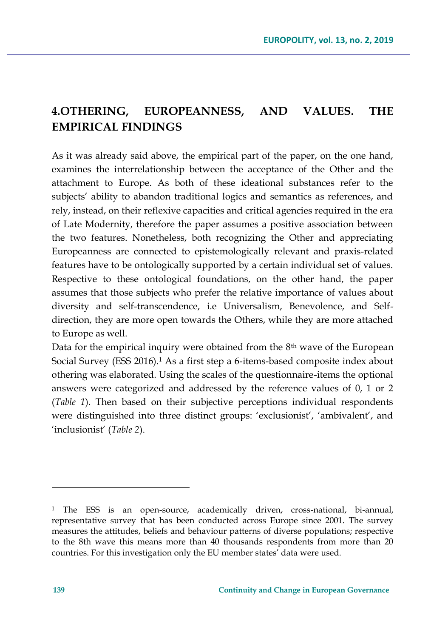# **4.OTHERING, EUROPEANNESS, AND VALUES. THE EMPIRICAL FINDINGS**

As it was already said above, the empirical part of the paper, on the one hand, examines the interrelationship between the acceptance of the Other and the attachment to Europe. As both of these ideational substances refer to the subjects' ability to abandon traditional logics and semantics as references, and rely, instead, on their reflexive capacities and critical agencies required in the era of Late Modernity, therefore the paper assumes a positive association between the two features. Nonetheless, both recognizing the Other and appreciating Europeanness are connected to epistemologically relevant and praxis-related features have to be ontologically supported by a certain individual set of values. Respective to these ontological foundations, on the other hand, the paper assumes that those subjects who prefer the relative importance of values about diversity and self-transcendence, i.e Universalism, Benevolence, and Selfdirection, they are more open towards the Others, while they are more attached to Europe as well.

Data for the empirical inquiry were obtained from the 8<sup>th</sup> wave of the European Social Survey (ESS 2016).<sup>1</sup> As a first step a 6-items-based composite index about othering was elaborated. Using the scales of the questionnaire-items the optional answers were categorized and addressed by the reference values of 0, 1 or 2 (*Table 1*). Then based on their subjective perceptions individual respondents were distinguished into three distinct groups: 'exclusionist', 'ambivalent', and 'inclusionist' (*Table 2*).

 $\overline{\phantom{a}}$ 

<sup>1</sup> The ESS is an open-source, academically driven, cross-national, bi-annual, representative survey that has been conducted across Europe since 2001. The survey measures the attitudes, beliefs and behaviour patterns of diverse populations; respective to the 8th wave this means more than 40 thousands respondents from more than 20 countries. For this investigation only the EU member states' data were used.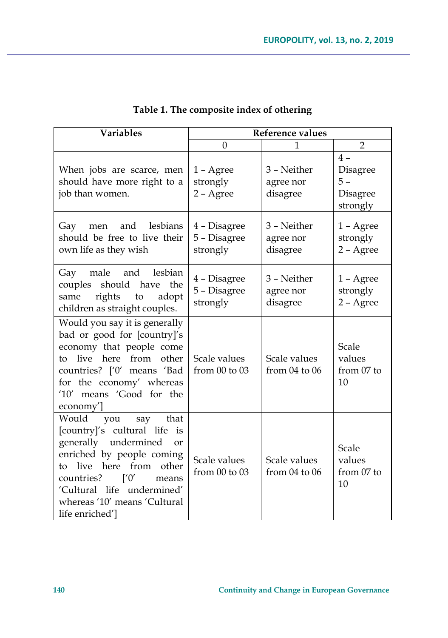| <b>Variables</b>                                                                                                                                                                                                                                                                                      | <b>Reference values</b>                  |                                      |                                                 |  |
|-------------------------------------------------------------------------------------------------------------------------------------------------------------------------------------------------------------------------------------------------------------------------------------------------------|------------------------------------------|--------------------------------------|-------------------------------------------------|--|
|                                                                                                                                                                                                                                                                                                       | $\theta$                                 | 1                                    | $\overline{2}$                                  |  |
| When jobs are scarce, men<br>should have more right to a<br>job than women.                                                                                                                                                                                                                           | 1 - Agree<br>strongly<br>2 - Agree       | 3 – Neither<br>agree nor<br>disagree | $4-$<br>Disagree<br>5 –<br>Disagree<br>strongly |  |
| and lesbians<br>Gay<br>men<br>should be free to live their<br>own life as they wish                                                                                                                                                                                                                   | 4 – Disagree<br>5 - Disagree<br>strongly | 3 - Neither<br>agree nor<br>disagree | 1 - Agree<br>strongly<br>2 - Agree              |  |
| and lesbian<br>Gay male<br>should<br>have<br>couples<br>the<br>rights<br>adopt<br>same<br>to<br>children as straight couples.                                                                                                                                                                         | 4 - Disagree<br>5 - Disagree<br>strongly | 3 – Neither<br>agree nor<br>disagree | 1 - Agree<br>strongly<br>2 - Agree              |  |
| Would you say it is generally<br>bad or good for [country]'s<br>economy that people come<br>live<br>here<br>from<br>other<br>to<br>countries? ['0' means 'Bad<br>for the economy' whereas<br>'10' means 'Good for the<br>economy'                                                                     | Scale values<br>from 00 to 03            | Scale values<br>from $04$ to $06$    | Scale<br>values<br>from 07 to<br>10             |  |
| Would<br>say<br>that<br>you<br>[country]'s cultural life is<br>generally undermined<br><sub>or</sub><br>enriched by people coming<br>from<br>other<br>live<br>here<br>tο<br>countries?<br>$\lceil 0 \rceil$<br>means<br>'Cultural life undermined'<br>whereas '10' means 'Cultural<br>life enriched'] | Scale values<br>from $00$ to $03$        | Scale values<br>from $04$ to $06$    | Scale<br>values<br>from 07 to<br>10             |  |

## **Table 1. The composite index of othering**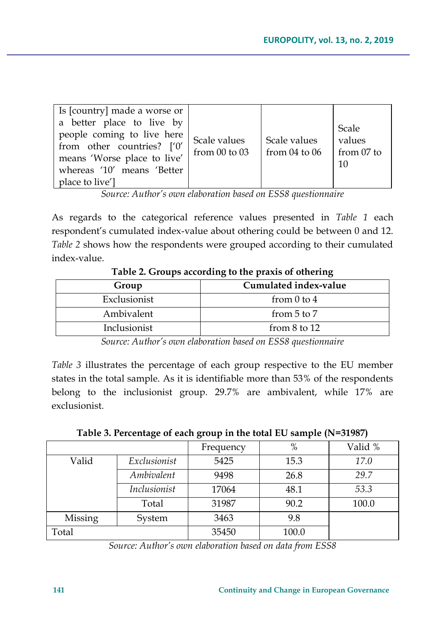| Is [country] made a worse or<br>a better place to live by<br>people coming to live here<br>from other countries? ['0'<br>means 'Worse place to live'<br>whereas '10' means 'Better<br>place to live'] | Scale values<br>from $00$ to $03$ | Scale values<br>from $04$ to $06$ | Scale<br>values<br>from 07 to<br>10 |
|-------------------------------------------------------------------------------------------------------------------------------------------------------------------------------------------------------|-----------------------------------|-----------------------------------|-------------------------------------|
|-------------------------------------------------------------------------------------------------------------------------------------------------------------------------------------------------------|-----------------------------------|-----------------------------------|-------------------------------------|

*Source: Author's own elaboration based on ESS8 questionnaire*

As regards to the categorical reference values presented in *Table 1* each respondent's cumulated index-value about othering could be between 0 and 12. *Table 2* shows how the respondents were grouped according to their cumulated index-value.

| Cumulated index-value<br>Group |                  |  |  |
|--------------------------------|------------------|--|--|
| Exclusionist                   | from $0$ to $4$  |  |  |
| Ambivalent                     | from $5$ to $7$  |  |  |
| Inclusionist                   | from $8$ to $12$ |  |  |

**Table 2. Groups according to the praxis of othering**

*Source: Author's own elaboration based on ESS8 questionnaire*

*Table 3* illustrates the percentage of each group respective to the EU member states in the total sample. As it is identifiable more than 53% of the respondents belong to the inclusionist group. 29.7% are ambivalent, while 17% are exclusionist.

| Table 3. Percentage of each group in the total EU sample (N=31987) |  |  |  |
|--------------------------------------------------------------------|--|--|--|
|                                                                    |  |  |  |

|         |              | Frequency | %     | Valid % |
|---------|--------------|-----------|-------|---------|
| Valid   | Exclusionist | 5425      | 15.3  | 17.0    |
|         | Ambivalent   | 9498      | 26.8  | 29.7    |
|         | Inclusionist | 17064     | 48.1  | 53.3    |
|         | Total        | 31987     | 90.2  | 100.0   |
| Missing | System       | 3463      | 9.8   |         |
| Total   |              | 35450     | 100.0 |         |

*Source: Author's own elaboration based on data from ESS8*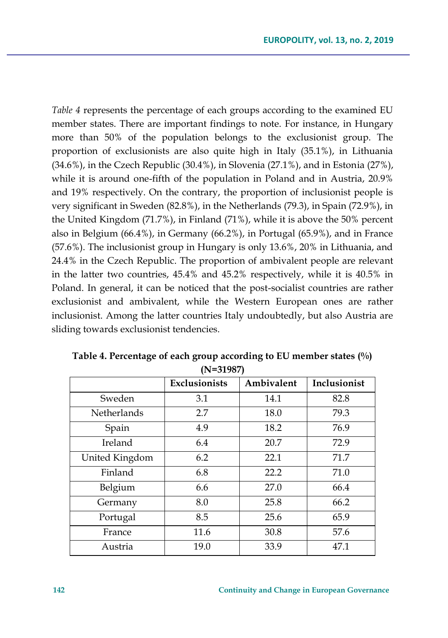*Table 4* represents the percentage of each groups according to the examined EU member states. There are important findings to note. For instance, in Hungary more than 50% of the population belongs to the exclusionist group. The proportion of exclusionists are also quite high in Italy (35.1%), in Lithuania  $(34.6\%)$ , in the Czech Republic  $(30.4\%)$ , in Slovenia  $(27.1\%)$ , and in Estonia  $(27\%)$ , while it is around one-fifth of the population in Poland and in Austria, 20.9% and 19% respectively. On the contrary, the proportion of inclusionist people is very significant in Sweden (82.8%), in the Netherlands (79.3), in Spain (72.9%), in the United Kingdom (71.7%), in Finland (71%), while it is above the 50% percent also in Belgium (66.4%), in Germany (66.2%), in Portugal (65.9%), and in France (57.6%). The inclusionist group in Hungary is only 13.6%, 20% in Lithuania, and 24.4% in the Czech Republic. The proportion of ambivalent people are relevant in the latter two countries, 45.4% and 45.2% respectively, while it is 40.5% in Poland. In general, it can be noticed that the post-socialist countries are rather exclusionist and ambivalent, while the Western European ones are rather inclusionist. Among the latter countries Italy undoubtedly, but also Austria are sliding towards exclusionist tendencies.

|                    | <b>Exclusionists</b> | Ambivalent | Inclusionist |
|--------------------|----------------------|------------|--------------|
| Sweden             | 3.1                  | 14.1       | 82.8         |
| <b>Netherlands</b> | 2.7                  | 18.0       | 79.3         |
| Spain              | 4.9                  | 18.2       | 76.9         |
| Ireland            | 6.4                  | 20.7       | 72.9         |
| United Kingdom     | 6.2                  | 22.1       | 71.7         |
| Finland            | 6.8                  | 22.2       | 71.0         |
| Belgium            | 6.6                  | 27.0       | 66.4         |
| Germany            | 8.0                  | 25.8       | 66.2         |
| Portugal           | 8.5                  | 25.6       | 65.9         |
| France             | 11.6                 | 30.8       | 57.6         |
| Austria            | 19.0                 | 33.9       | 47.1         |

**Table 4. Percentage of each group according to EU member states (%) (N=31987)**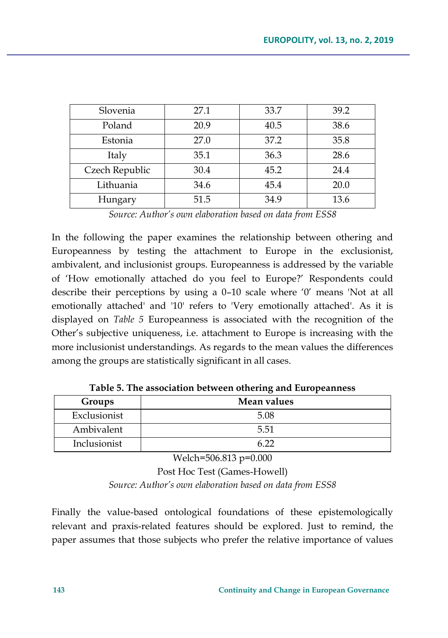| Slovenia       | 27.1 | 33.7 | 39.2 |
|----------------|------|------|------|
| Poland         | 20.9 | 40.5 | 38.6 |
| Estonia        | 27.0 | 37.2 | 35.8 |
| Italy          | 35.1 | 36.3 | 28.6 |
| Czech Republic | 30.4 | 45.2 | 24.4 |
| Lithuania      | 34.6 | 45.4 | 20.0 |
| Hungary        | 51.5 | 34.9 | 13.6 |

*Source: Author's own elaboration based on data from ESS8*

In the following the paper examines the relationship between othering and Europeanness by testing the attachment to Europe in the exclusionist, ambivalent, and inclusionist groups. Europeanness is addressed by the variable of 'How emotionally attached do you feel to Europe?' Respondents could describe their perceptions by using a 0–10 scale where '0' means 'Not at all emotionally attached' and '10' refers to 'Very emotionally attached'. As it is displayed on *Table 5* Europeanness is associated with the recognition of the Other's subjective uniqueness, i.e. attachment to Europe is increasing with the more inclusionist understandings. As regards to the mean values the differences among the groups are statistically significant in all cases.

| Groups       | Mean values |
|--------------|-------------|
| Exclusionist | 5.08        |
| Ambivalent   | 5.51        |
| Inclusionist |             |

**Table 5. The association between othering and Europeanness**

Welch=506.813 p=0.000

Post Hoc Test (Games-Howell) *Source: Author's own elaboration based on data from ESS8*

Finally the value-based ontological foundations of these epistemologically relevant and praxis-related features should be explored. Just to remind, the paper assumes that those subjects who prefer the relative importance of values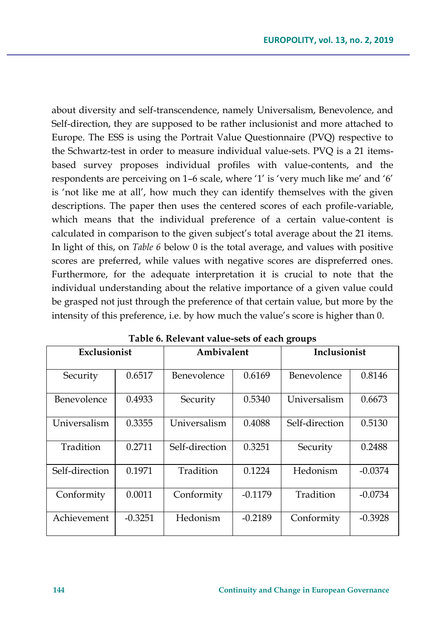about diversity and self-transcendence, namely Universalism, Benevolence, and Self-direction, they are supposed to be rather inclusionist and more attached to Europe. The ESS is using the Portrait Value Questionnaire (PVQ) respective to the Schwartz-test in order to measure individual value-sets. PVQ is a 21 itemsbased survey proposes individual profiles with value-contents, and the respondents are perceiving on 1–6 scale, where '1' is 'very much like me' and '6' is 'not like me at all', how much they can identify themselves with the given descriptions. The paper then uses the centered scores of each profile-variable, which means that the individual preference of a certain value-content is calculated in comparison to the given subject's total average about the 21 items. In light of this, on *Table 6* below 0 is the total average, and values with positive scores are preferred, while values with negative scores are dispreferred ones. Furthermore, for the adequate interpretation it is crucial to note that the individual understanding about the relative importance of a given value could be grasped not just through the preference of that certain value, but more by the intensity of this preference, i.e. by how much the value's score is higher than 0.

|                    | Exclusionist |                | Ambivalent |                | Inclusionist |
|--------------------|--------------|----------------|------------|----------------|--------------|
| Security           | 0.6517       | Benevolence    | 0.6169     | Benevolence    | 0.8146       |
| <b>Benevolence</b> | 0.4933       | Security       | 0.5340     | Universalism   | 0.6673       |
| Universalism       | 0.3355       | Universalism   | 0.4088     | Self-direction | 0.5130       |
| Tradition          | 0.2711       | Self-direction | 0.3251     | Security       | 0.2488       |
| Self-direction     | 0.1971       | Tradition      | 0.1224     | Hedonism       | $-0.0374$    |
| Conformity         | 0.0011       | Conformity     | $-0.1179$  | Tradition      | $-0.0734$    |
| Achievement        | $-0.3251$    | Hedonism       | $-0.2189$  | Conformity     | $-0.3928$    |

**Table 6. Relevant value-sets of each groups**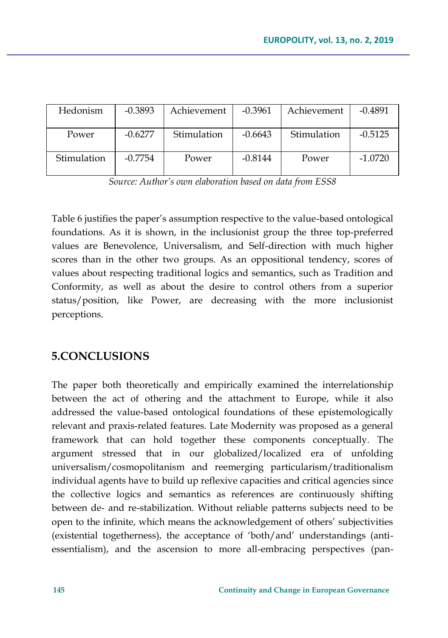| Hedonism    | $-0.3893$ | Achievement | $-0.3961$ | Achievement | $-0.4891$ |
|-------------|-----------|-------------|-----------|-------------|-----------|
| Power       | $-0.6277$ | Stimulation | $-0.6643$ | Stimulation | $-0.5125$ |
| Stimulation | $-0.7754$ | Power       | $-0.8144$ | Power       | $-1.0720$ |

*Source: Author's own elaboration based on data from ESS8*

Table 6 justifies the paper's assumption respective to the value-based ontological foundations. As it is shown, in the inclusionist group the three top-preferred values are Benevolence, Universalism, and Self-direction with much higher scores than in the other two groups. As an oppositional tendency, scores of values about respecting traditional logics and semantics, such as Tradition and Conformity, as well as about the desire to control others from a superior status/position, like Power, are decreasing with the more inclusionist perceptions.

### **5.CONCLUSIONS**

The paper both theoretically and empirically examined the interrelationship between the act of othering and the attachment to Europe, while it also addressed the value-based ontological foundations of these epistemologically relevant and praxis-related features. Late Modernity was proposed as a general framework that can hold together these components conceptually. The argument stressed that in our globalized/localized era of unfolding universalism/cosmopolitanism and reemerging particularism/traditionalism individual agents have to build up reflexive capacities and critical agencies since the collective logics and semantics as references are continuously shifting between de- and re-stabilization. Without reliable patterns subjects need to be open to the infinite, which means the acknowledgement of others' subjectivities (existential togetherness), the acceptance of 'both/and' understandings (antiessentialism), and the ascension to more all-embracing perspectives (pan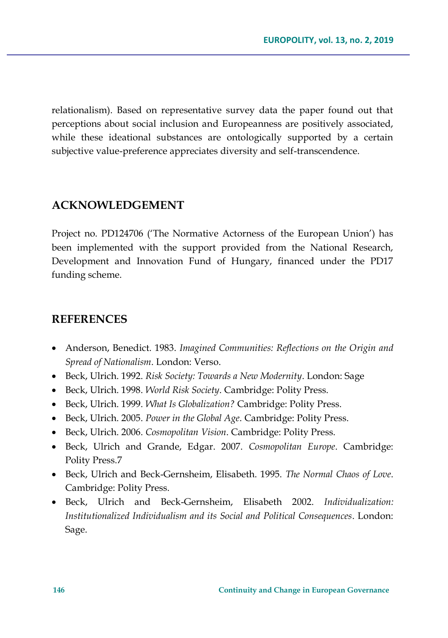relationalism). Based on representative survey data the paper found out that perceptions about social inclusion and Europeanness are positively associated, while these ideational substances are ontologically supported by a certain subjective value-preference appreciates diversity and self-transcendence.

### **ACKNOWLEDGEMENT**

Project no. PD124706 ('The Normative Actorness of the European Union') has been implemented with the support provided from the National Research, Development and Innovation Fund of Hungary, financed under the PD17 funding scheme.

### **REFERENCES**

- Anderson, Benedict. 1983. *Imagined Communities: Reflections on the Origin and Spread of Nationalism*. London: Verso.
- Beck, Ulrich. 1992. *Risk Society: Towards a New Modernity*. London: Sage
- Beck, Ulrich. 1998. *World Risk Society*. Cambridge: Polity Press.
- Beck, Ulrich. 1999. *What Is Globalization?* Cambridge: Polity Press.
- Beck, Ulrich. 2005. *Power in the Global Age*. Cambridge: Polity Press.
- Beck, Ulrich. 2006. *Cosmopolitan Vision*. Cambridge: Polity Press.
- Beck, Ulrich and Grande, Edgar. 2007. *Cosmopolitan Europe*. Cambridge: Polity Press.7
- Beck, Ulrich and Beck-Gernsheim, Elisabeth. 1995. *The Normal Chaos of Love*. Cambridge: Polity Press.
- Beck, Ulrich and Beck-Gernsheim, Elisabeth 2002. *Individualization: Institutionalized Individualism and its Social and Political Consequences*. London: Sage.